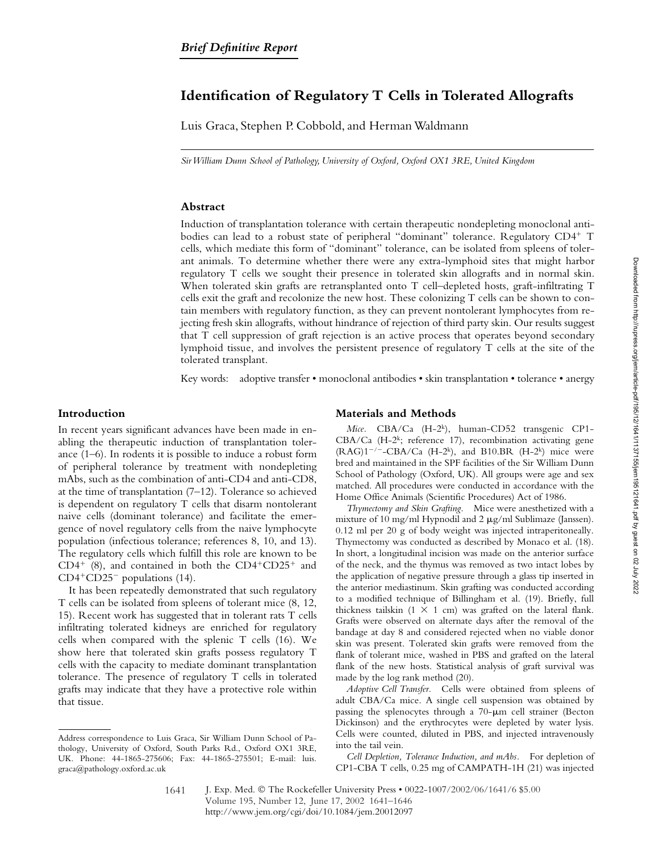# **Identification of Regulatory T Cells in Tolerated Allografts**

Luis Graca, Stephen P. Cobbold, and Herman Waldmann

*Sir William Dunn School of Pathology, University of Oxford, Oxford OX1 3RE, United Kingdom*

# **Abstract**

Induction of transplantation tolerance with certain therapeutic nondepleting monoclonal antibodies can lead to a robust state of peripheral "dominant" tolerance. Regulatory CD4<sup>+</sup> T cells, which mediate this form of "dominant" tolerance, can be isolated from spleens of tolerant animals. To determine whether there were any extra-lymphoid sites that might harbor regulatory T cells we sought their presence in tolerated skin allografts and in normal skin. When tolerated skin grafts are retransplanted onto T cell–depleted hosts, graft-infiltrating T cells exit the graft and recolonize the new host. These colonizing T cells can be shown to contain members with regulatory function, as they can prevent nontolerant lymphocytes from rejecting fresh skin allografts, without hindrance of rejection of third party skin. Our results suggest that T cell suppression of graft rejection is an active process that operates beyond secondary lymphoid tissue, and involves the persistent presence of regulatory T cells at the site of the tolerated transplant.

Key words: adoptive transfer • monoclonal antibodies • skin transplantation • tolerance • anergy

#### **Introduction**

In recent years significant advances have been made in enabling the therapeutic induction of transplantation tolerance (1–6). In rodents it is possible to induce a robust form of peripheral tolerance by treatment with nondepleting mAbs, such as the combination of anti-CD4 and anti-CD8, at the time of transplantation (7–12). Tolerance so achieved is dependent on regulatory T cells that disarm nontolerant naive cells (dominant tolerance) and facilitate the emergence of novel regulatory cells from the naive lymphocyte population (infectious tolerance; references 8, 10, and 13). The regulatory cells which fulfill this role are known to be  $CD4^+$  (8), and contained in both the  $CD4^+CD25^+$  and CD4+CD25<sup>-</sup> populations (14).

It has been repeatedly demonstrated that such regulatory T cells can be isolated from spleens of tolerant mice (8, 12, 15). Recent work has suggested that in tolerant rats T cells infiltrating tolerated kidneys are enriched for regulatory cells when compared with the splenic T cells (16). We show here that tolerated skin grafts possess regulatory T cells with the capacity to mediate dominant transplantation tolerance. The presence of regulatory T cells in tolerated grafts may indicate that they have a protective role within that tissue.

## **Materials and Methods**

*Mice.* CBA/Ca (H-2<sup>k</sup>), human-CD52 transgenic CP1-CBA/Ca (H-2k; reference 17), recombination activating gene  $(RAG)1^{-/-}$ -CBA/Ca  $(H-2^k)$ , and B10.BR  $(H-2^k)$  mice were bred and maintained in the SPF facilities of the Sir William Dunn School of Pathology (Oxford, UK). All groups were age and sex matched. All procedures were conducted in accordance with the Home Office Animals (Scientific Procedures) Act of 1986.

*Thymectomy and Skin Grafting.* Mice were anesthetized with a mixture of 10 mg/ml Hypnodil and 2  $\mu$ g/ml Sublimaze (Janssen). 0.12 ml per 20 g of body weight was injected intraperitoneally. Thymectomy was conducted as described by Monaco et al. (18). In short, a longitudinal incision was made on the anterior surface of the neck, and the thymus was removed as two intact lobes by the application of negative pressure through a glass tip inserted in the anterior mediastinum. Skin grafting was conducted according to a modified technique of Billingham et al. (19). Briefly, full thickness tailskin  $(1 \times 1$  cm) was grafted on the lateral flank. Grafts were observed on alternate days after the removal of the bandage at day 8 and considered rejected when no viable donor skin was present. Tolerated skin grafts were removed from the flank of tolerant mice, washed in PBS and grafted on the lateral flank of the new hosts. Statistical analysis of graft survival was made by the log rank method (20).

*Adoptive Cell Transfer.* Cells were obtained from spleens of adult CBA/Ca mice. A single cell suspension was obtained by passing the splenocytes through a  $70-\mu m$  cell strainer (Becton Dickinson) and the erythrocytes were depleted by water lysis. Cells were counted, diluted in PBS, and injected intravenously into the tail vein.

*Cell Depletion, Tolerance Induction, and mAbs.* For depletion of CP1-CBA T cells, 0.25 mg of CAMPATH-1H (21) was injected

Address correspondence to Luis Graca, Sir William Dunn School of Pathology, University of Oxford, South Parks Rd., Oxford OX1 3RE, UK. Phone: 44-1865-275606; Fax: 44-1865-275501; E-mail: luis. graca@pathology.oxford.ac.uk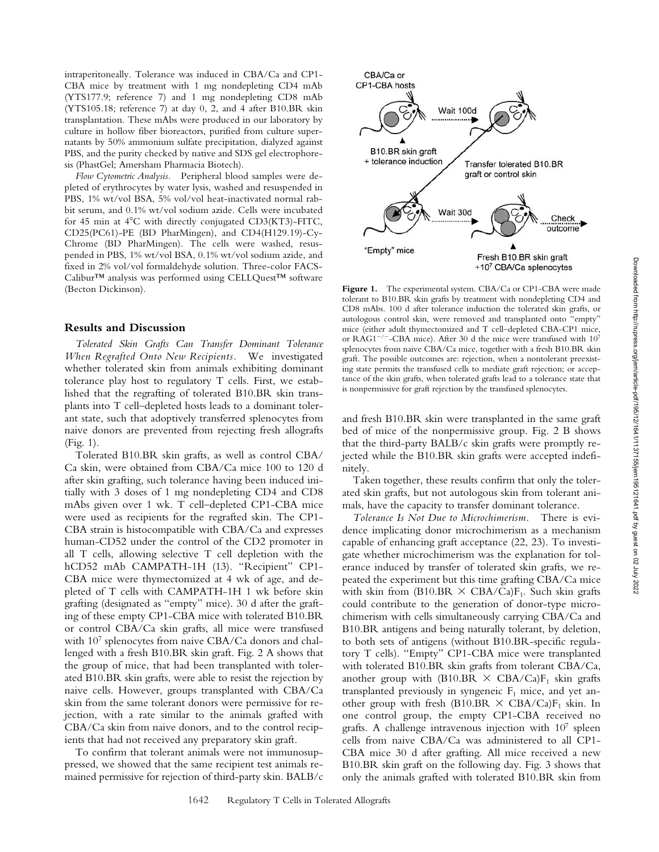intraperitoneally. Tolerance was induced in CBA/Ca and CP1- CBA mice by treatment with 1 mg nondepleting CD4 mAb (YTS177.9; reference 7) and 1 mg nondepleting CD8 mAb (YTS105.18; reference 7) at day 0, 2, and 4 after B10.BR skin transplantation. These mAbs were produced in our laboratory by culture in hollow fiber bioreactors, purified from culture supernatants by 50% ammonium sulfate precipitation, dialyzed against PBS, and the purity checked by native and SDS gel electrophoresis (PhastGel; Amersham Pharmacia Biotech).

*Flow Cytometric Analysis.* Peripheral blood samples were depleted of erythrocytes by water lysis, washed and resuspended in PBS, 1% wt/vol BSA, 5% vol/vol heat-inactivated normal rabbit serum, and 0.1% wt/vol sodium azide. Cells were incubated for 45 min at  $4^{\circ}$ C with directly conjugated CD3(KT3)-FITC, CD25(PC61)-PE (BD PharMingen), and CD4(H129.19)-Cy-Chrome (BD PharMingen). The cells were washed, resuspended in PBS, 1% wt/vol BSA, 0.1% wt/vol sodium azide, and fixed in 2% vol/vol formaldehyde solution. Three-color FACS-Calibur™ analysis was performed using CELLQuest™ software (Becton Dickinson).

### **Results and Discussion**

*Tolerated Skin Grafts Can Transfer Dominant Tolerance When Regrafted Onto New Recipients.* We investigated whether tolerated skin from animals exhibiting dominant tolerance play host to regulatory T cells. First, we established that the regrafting of tolerated B10.BR skin transplants into T cell–depleted hosts leads to a dominant tolerant state, such that adoptively transferred splenocytes from naive donors are prevented from rejecting fresh allografts (Fig. 1).

Tolerated B10.BR skin grafts, as well as control CBA/ Ca skin, were obtained from CBA/Ca mice 100 to 120 d after skin grafting, such tolerance having been induced initially with 3 doses of 1 mg nondepleting CD4 and CD8 mAbs given over 1 wk. T cell–depleted CP1-CBA mice were used as recipients for the regrafted skin. The CP1- CBA strain is histocompatible with CBA/Ca and expresses human-CD52 under the control of the CD2 promoter in all T cells, allowing selective T cell depletion with the hCD52 mAb CAMPATH-1H (13). "Recipient" CP1- CBA mice were thymectomized at 4 wk of age, and depleted of T cells with CAMPATH-1H 1 wk before skin grafting (designated as "empty" mice). 30 d after the grafting of these empty CP1-CBA mice with tolerated B10.BR or control CBA/Ca skin grafts, all mice were transfused with 107 splenocytes from naive CBA/Ca donors and challenged with a fresh B10.BR skin graft. Fig. 2 A shows that the group of mice, that had been transplanted with tolerated B10.BR skin grafts, were able to resist the rejection by naive cells. However, groups transplanted with CBA/Ca skin from the same tolerant donors were permissive for rejection, with a rate similar to the animals grafted with CBA/Ca skin from naive donors, and to the control recipients that had not received any preparatory skin graft.

To confirm that tolerant animals were not immunosuppressed, we showed that the same recipient test animals remained permissive for rejection of third-party skin. BALB/c



Figure 1. The experimental system. CBA/Ca or CP1-CBA were made tolerant to B10.BR skin grafts by treatment with nondepleting CD4 and CD8 mAbs. 100 d after tolerance induction the tolerated skin grafts, or autologous control skin, were removed and transplanted onto "empty" mice (either adult thymectomized and T cell–depleted CBA-CP1 mice, or RAG1<sup>-/-</sup>-CBA mice). After 30 d the mice were transfused with  $10<sup>7</sup>$ splenocytes from naive CBA/Ca mice, together with a fresh B10.BR skin graft. The possible outcomes are: rejection, when a nontolerant preexisting state permits the transfused cells to mediate graft rejection; or acceptance of the skin grafts, when tolerated grafts lead to a tolerance state that is nonpermissive for graft rejection by the transfused splenocytes.

and fresh B10.BR skin were transplanted in the same graft bed of mice of the nonpermissive group. Fig. 2 B shows that the third-party BALB/c skin grafts were promptly rejected while the B10.BR skin grafts were accepted indefinitely.

Taken together, these results confirm that only the tolerated skin grafts, but not autologous skin from tolerant animals, have the capacity to transfer dominant tolerance.

*Tolerance Is Not Due to Microchimerism.* There is evidence implicating donor microchimerism as a mechanism capable of enhancing graft acceptance (22, 23). To investigate whether microchimerism was the explanation for tolerance induced by transfer of tolerated skin grafts, we repeated the experiment but this time grafting CBA/Ca mice with skin from (B10.BR  $\times$  CBA/Ca)F<sub>1</sub>. Such skin grafts could contribute to the generation of donor-type microchimerism with cells simultaneously carrying CBA/Ca and B10.BR antigens and being naturally tolerant, by deletion, to both sets of antigens (without B10.BR-specific regulatory T cells). "Empty" CP1-CBA mice were transplanted with tolerated B10.BR skin grafts from tolerant CBA/Ca, another group with (B10.BR  $\times$  CBA/Ca)F<sub>1</sub> skin grafts transplanted previously in syngeneic  $F_1$  mice, and yet another group with fresh (B10.BR  $\times$  CBA/Ca)F<sub>1</sub> skin. In one control group, the empty CP1-CBA received no grafts. A challenge intravenous injection with 107 spleen cells from naive CBA/Ca was administered to all CP1- CBA mice 30 d after grafting. All mice received a new B10.BR skin graft on the following day. Fig. 3 shows that only the animals grafted with tolerated B10.BR skin from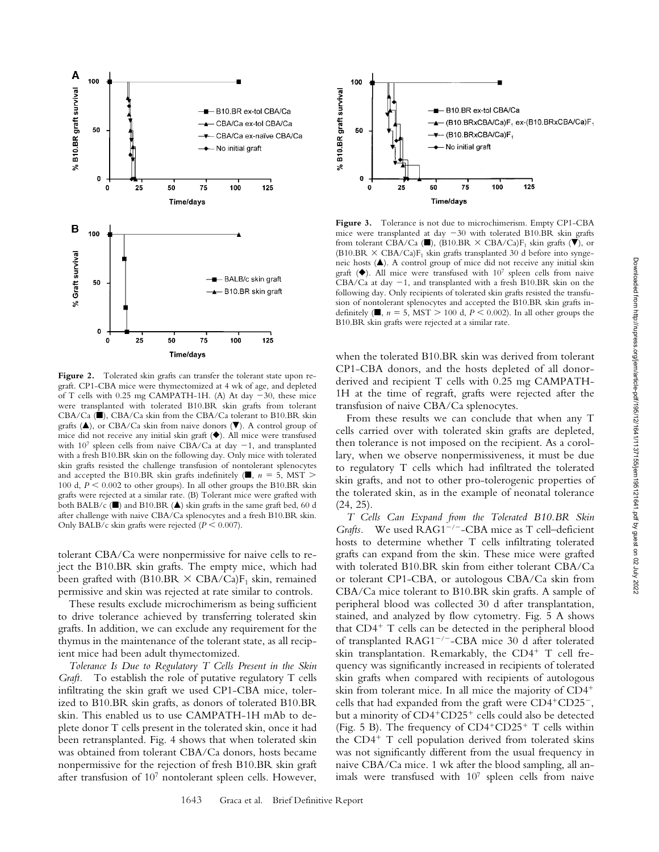

Figure 2. Tolerated skin grafts can transfer the tolerant state upon regraft. CP1-CBA mice were thymectomized at 4 wk of age, and depleted of T cells with 0.25 mg CAMPATH-1H. (A) At day  $-30$ , these mice were transplanted with tolerated B10.BR skin grafts from tolerant CBA/Ca (), CBA/Ca skin from the CBA/Ca tolerant to B10.BR skin grafts  $(\triangle)$ , or CBA/Ca skin from naive donors  $(\blacktriangledown)$ . A control group of mice did not receive any initial skin graft  $(\blacklozenge)$ . All mice were transfused with  $10^7$  spleen cells from naive CBA/Ca at day  $-1$ , and transplanted with a fresh B10.BR skin on the following day. Only mice with tolerated skin grafts resisted the challenge transfusion of nontolerant splenocytes and accepted the B10.BR skin grafts indefinitely ( $\blacksquare$ ,  $n = 5$ , MST  $>$ 100 d,  $P \le 0.002$  to other groups). In all other groups the B10.BR skin grafts were rejected at a similar rate. (B) Tolerant mice were grafted with both BALB/c ( $\blacksquare$ ) and B10.BR ( $\blacktriangle$ ) skin grafts in the same graft bed, 60 d after challenge with naive CBA/Ca splenocytes and a fresh B10.BR skin. Only BALB/c skin grafts were rejected ( $P \le 0.007$ ).

tolerant CBA/Ca were nonpermissive for naive cells to reject the B10.BR skin grafts. The empty mice, which had been grafted with (B10.BR  $\times$  CBA/Ca)F<sub>1</sub> skin, remained permissive and skin was rejected at rate similar to controls.

These results exclude microchimerism as being sufficient to drive tolerance achieved by transferring tolerated skin grafts. In addition, we can exclude any requirement for the thymus in the maintenance of the tolerant state, as all recipient mice had been adult thymectomized.

*Tolerance Is Due to Regulatory T Cells Present in the Skin Graft.* To establish the role of putative regulatory T cells infiltrating the skin graft we used CP1-CBA mice, tolerized to B10.BR skin grafts, as donors of tolerated B10.BR skin. This enabled us to use CAMPATH-1H mAb to deplete donor T cells present in the tolerated skin, once it had been retransplanted. Fig. 4 shows that when tolerated skin was obtained from tolerant CBA/Ca donors, hosts became nonpermissive for the rejection of fresh B10.BR skin graft after transfusion of 107 nontolerant spleen cells. However,



**Figure 3.** Tolerance is not due to microchimerism. Empty CP1-CBA mice were transplanted at day  $-30$  with tolerated B10.BR skin grafts from tolerant CBA/Ca ( $\blacksquare$ ), (B10.BR  $\times$  CBA/Ca)F<sub>1</sub> skin grafts ( $\blacktriangledown$ ), or (B10.BR  $\times$  CBA/Ca)F<sub>1</sub> skin grafts transplanted 30 d before into syngeneic hosts  $(\triangle)$ . A control group of mice did not receive any initial skin graft  $(\blacklozenge)$ . All mice were transfused with 107 spleen cells from naive  $CBA/Ca$  at day  $-1$ , and transplanted with a fresh B10.BR skin on the following day. Only recipients of tolerated skin grafts resisted the transfusion of nontolerant splenocytes and accepted the B10.BR skin grafts indefinitely ( $\blacksquare$ ,  $n = 5$ , MST  $> 100$  d,  $P \lt 0.002$ ). In all other groups the B10.BR skin grafts were rejected at a similar rate.

when the tolerated B10.BR skin was derived from tolerant CP1-CBA donors, and the hosts depleted of all donorderived and recipient T cells with 0.25 mg CAMPATH-1H at the time of regraft, grafts were rejected after the transfusion of naive CBA/Ca splenocytes.

From these results we can conclude that when any T cells carried over with tolerated skin grafts are depleted, then tolerance is not imposed on the recipient. As a corollary, when we observe nonpermissiveness, it must be due to regulatory T cells which had infiltrated the tolerated skin grafts, and not to other pro-tolerogenic properties of the tolerated skin, as in the example of neonatal tolerance (24, 25).

*T Cells Can Expand from the Tolerated B10.BR Skin Grafts.* We used RAG1<sup>-/-</sup>-CBA mice as T cell-deficient hosts to determine whether T cells infiltrating tolerated grafts can expand from the skin. These mice were grafted with tolerated B10.BR skin from either tolerant CBA/Ca or tolerant CP1-CBA, or autologous CBA/Ca skin from CBA/Ca mice tolerant to B10.BR skin grafts. A sample of peripheral blood was collected 30 d after transplantation, stained, and analyzed by flow cytometry. Fig. 5 A shows that CD4<sup>+</sup> T cells can be detected in the peripheral blood of transplanted  $RAG1^{-/-}$ -CBA mice 30 d after tolerated skin transplantation. Remarkably, the CD4<sup>+</sup> T cell frequency was significantly increased in recipients of tolerated skin grafts when compared with recipients of autologous skin from tolerant mice. In all mice the majority of CD4 cells that had expanded from the graft were  $CD4^+CD25^-$ , but a minority of CD4<sup>+</sup>CD25<sup>+</sup> cells could also be detected (Fig. 5 B). The frequency of  $CD4+CD25+T$  cells within the CD4<sup>+</sup> T cell population derived from tolerated skins was not significantly different from the usual frequency in naive CBA/Ca mice. 1 wk after the blood sampling, all animals were transfused with  $10<sup>7</sup>$  spleen cells from naive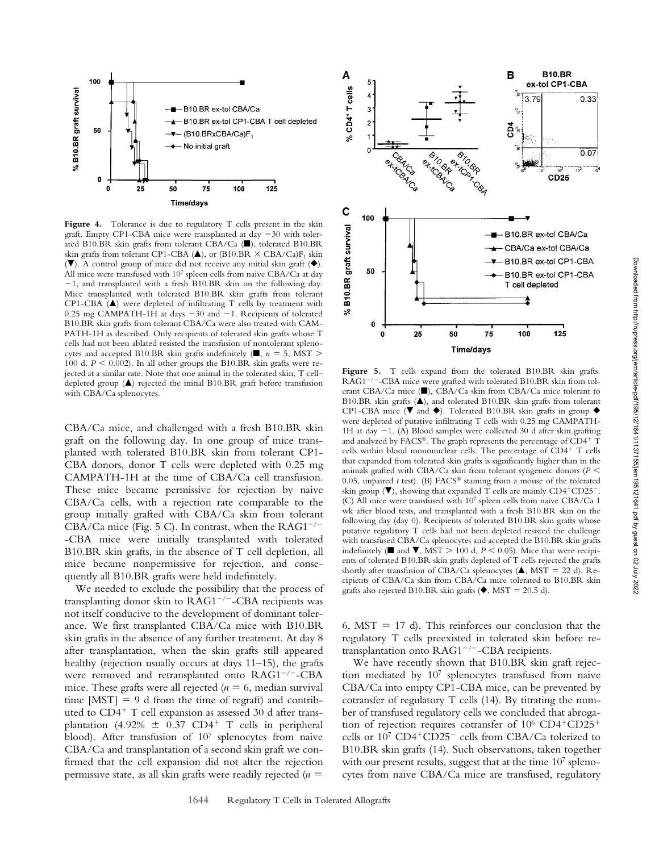

Figure 4. Tolerance is due to regulatory T cells present in the skin graft. Empty CP1-CBA mice were transplanted at day  $-30$  with tolerated B10.BR skin grafts from tolerant CBA/Ca (.), tolerated B10.BR skin grafts from tolerant CP1-CBA ( $\triangle$ ), or (B10.BR  $\times$  CBA/Ca)F<sub>1</sub> skin  $(\blacktriangledown)$ . A control group of mice did not receive any initial skin graft  $(\blacklozenge)$ . All mice were transfused with  $10<sup>7</sup>$  spleen cells from naive CBA/Ca at day 1, and transplanted with a fresh B10.BR skin on the following day. Mice transplanted with tolerated B10.BR skin grafts from tolerant CP1-CBA  $(A)$  were depleted of infiltrating T cells by treatment with 0.25 mg CAMPATH-1H at days  $-30$  and  $-1$ . Recipients of tolerated B10.BR skin grafts from tolerant CBA/Ca were also treated with CAM-PATH-1H as described. Only recipients of tolerated skin grafts whose T cells had not been ablated resisted the transfusion of nontolerant splenocytes and accepted B10.BR skin grafts indefinitely ( $\blacksquare$ ,  $n = 5$ , MST  $>$ 100 d,  $P \le 0.002$ ). In all other groups the B10.BR skin grafts were rejected at a similar rate. Note that one animal in the tolerated skin, T cell– depleted group  $(\triangle)$  rejected the initial B10.BR graft before transfusion with CBA/Ca splenocytes.

CBA/Ca mice, and challenged with a fresh B10.BR skin graft on the following day. In one group of mice transplanted with tolerated B10.BR skin from tolerant CP1- CBA donors, donor T cells were depleted with 0.25 mg CAMPATH-1H at the time of CBA/Ca cell transfusion. These mice became permissive for rejection by naive CBA/Ca cells, with a rejection rate comparable to the group initially grafted with CBA/Ca skin from tolerant CBA/Ca mice (Fig. 5 C). In contrast, when the  $RAG1^{-/-}$ -CBA mice were initially transplanted with tolerated B10.BR skin grafts, in the absence of T cell depletion, all mice became nonpermissive for rejection, and consequently all B10.BR grafts were held indefinitely.

We needed to exclude the possibility that the process of transplanting donor skin to  $RAG1^{-/-}$ -CBA recipients was not itself conducive to the development of dominant tolerance. We first transplanted CBA/Ca mice with B10.BR skin grafts in the absence of any further treatment. At day 8 after transplantation, when the skin grafts still appeared healthy (rejection usually occurs at days 11–15), the grafts were removed and retransplanted onto RAG1<sup>-/-</sup>-CBA mice. These grafts were all rejected  $(n = 6)$ , median survival time  $[MST] = 9$  d from the time of regraft) and contributed to CD4<sup>+</sup> T cell expansion as assessed 30 d after transplantation (4.92%  $\pm$  0.37 CD4<sup>+</sup> T cells in peripheral blood). After transfusion of 107 splenocytes from naive CBA/Ca and transplantation of a second skin graft we confirmed that the cell expansion did not alter the rejection permissive state, as all skin grafts were readily rejected (*n*



**Figure 5.** T cells expand from the tolerated B10.BR skin grafts*.* RAG1<sup>-/-</sup>-CBA mice were grafted with tolerated B10.BR skin from tolerant CBA/Ca mice ( $\blacksquare$ ), CBA/Ca skin from CBA/Ca mice tolerant to B10.BR skin grafts  $(A)$ , and tolerated B10.BR skin grafts from tolerant CP1-CBA mice ( $\nabla$  and  $\blacklozenge$ ). Tolerated B10.BR skin grafts in group  $\blacklozenge$ were depleted of putative infiltrating T cells with 0.25 mg CAMPATH-1H at day  $-1$ . (A) Blood samples were collected 30 d after skin grafting and analyzed by  $FACS^{\circledast}$ . The graph represents the percentage of  $CD4^+$  T cells within blood mononuclear cells. The percentage of CD4<sup>+</sup> T cells that expanded from tolerated skin grafts is significantly higher than in the animals grafted with CBA/Ca skin from tolerant syngeneic donors (*P* 0.05, unpaired *t* test). (B) FACS® staining from a mouse of the tolerated skin group ( $\nabla$ ), showing that expanded T cells are mainly CD4<sup>+</sup>CD25<sup>-</sup>. (C) All mice were transfused with 107 spleen cells from naive CBA/Ca 1 wk after blood tests, and transplanted with a fresh B10.BR skin on the following day (day 0). Recipients of tolerated B10.BR skin grafts whose putative regulatory T cells had not been depleted resisted the challenge with transfused CBA/Ca splenocytes and accepted the B10.BR skin grafts indefinitely ( $\blacksquare$  and  $\blacktriangledown$ , MST  $>$  100 d,  $P \leq 0.05$ ). Mice that were recipients of tolerated B10.BR skin grafts depleted of T cells rejected the grafts shortly after transfusion of CBA/Ca splenocytes  $(A, MST = 22 d)$ . Recipients of CBA/Ca skin from CBA/Ca mice tolerated to B10.BR skin grafts also rejected B10.BR skin grafts ( $\blacklozenge$ , MST = 20.5 d).

6, MST  $= 17$  d). This reinforces our conclusion that the regulatory T cells preexisted in tolerated skin before retransplantation onto  $RAG1^{-/-}$ -CBA recipients.

We have recently shown that B10.BR skin graft rejection mediated by  $10<sup>7</sup>$  splenocytes transfused from naive CBA/Ca into empty CP1-CBA mice, can be prevented by cotransfer of regulatory T cells (14). By titrating the number of transfused regulatory cells we concluded that abrogation of rejection requires cotransfer of 10<sup>6</sup> CD4<sup>+</sup>CD25<sup>+</sup> cells or  $10^7$  CD4<sup>+</sup>CD25<sup>-</sup> cells from CBA/Ca tolerized to B10.BR skin grafts (14). Such observations, taken together with our present results, suggest that at the time 107 splenocytes from naive CBA/Ca mice are transfused, regulatory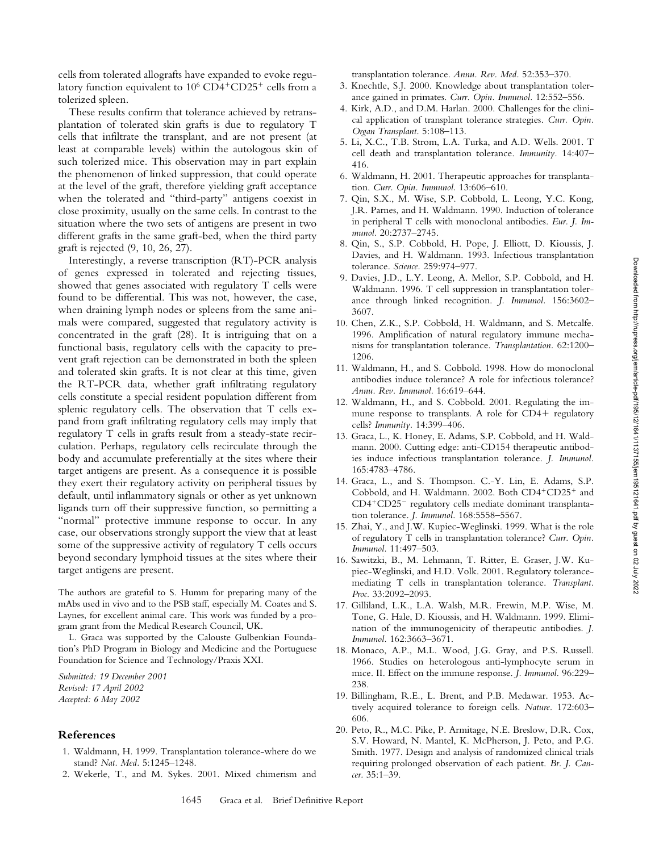cells from tolerated allografts have expanded to evoke regulatory function equivalent to 10<sup>6</sup> CD4<sup>+</sup>CD25<sup>+</sup> cells from a tolerized spleen.

These results confirm that tolerance achieved by retransplantation of tolerated skin grafts is due to regulatory T cells that infiltrate the transplant, and are not present (at least at comparable levels) within the autologous skin of such tolerized mice. This observation may in part explain the phenomenon of linked suppression, that could operate at the level of the graft, therefore yielding graft acceptance when the tolerated and "third-party" antigens coexist in close proximity, usually on the same cells. In contrast to the situation where the two sets of antigens are present in two different grafts in the same graft-bed, when the third party graft is rejected (9, 10, 26, 27).

Interestingly, a reverse transcription (RT)-PCR analysis of genes expressed in tolerated and rejecting tissues, showed that genes associated with regulatory T cells were found to be differential. This was not, however, the case, when draining lymph nodes or spleens from the same animals were compared, suggested that regulatory activity is concentrated in the graft (28). It is intriguing that on a functional basis, regulatory cells with the capacity to prevent graft rejection can be demonstrated in both the spleen and tolerated skin grafts. It is not clear at this time, given the RT-PCR data, whether graft infiltrating regulatory cells constitute a special resident population different from splenic regulatory cells. The observation that T cells expand from graft infiltrating regulatory cells may imply that regulatory T cells in grafts result from a steady-state recirculation. Perhaps, regulatory cells recirculate through the body and accumulate preferentially at the sites where their target antigens are present. As a consequence it is possible they exert their regulatory activity on peripheral tissues by default, until inflammatory signals or other as yet unknown ligands turn off their suppressive function, so permitting a "normal" protective immune response to occur. In any case, our observations strongly support the view that at least some of the suppressive activity of regulatory T cells occurs beyond secondary lymphoid tissues at the sites where their target antigens are present.

The authors are grateful to S. Humm for preparing many of the mAbs used in vivo and to the PSB staff, especially M. Coates and S. Laynes, for excellent animal care. This work was funded by a program grant from the Medical Research Council, UK.

L. Graca was supported by the Calouste Gulbenkian Foundation's PhD Program in Biology and Medicine and the Portuguese Foundation for Science and Technology/Praxis XXI.

*Submitted: 19 December 2001 Revised: 17 April 2002 Accepted: 6 May 2002*

### **References**

- 1. Waldmann, H. 1999. Transplantation tolerance-where do we stand? *Nat. Med.* 5:1245–1248.
- 2. Wekerle, T., and M. Sykes. 2001. Mixed chimerism and

transplantation tolerance. *Annu. Rev. Med.* 52:353–370.

- 3. Knechtle, S.J. 2000. Knowledge about transplantation tolerance gained in primates. *Curr. Opin. Immunol.* 12:552–556.
- 4. Kirk, A.D., and D.M. Harlan. 2000. Challenges for the clinical application of transplant tolerance strategies. *Curr. Opin. Organ Transplant.* 5:108–113.
- 5. Li, X.C., T.B. Strom, L.A. Turka, and A.D. Wells. 2001. T cell death and transplantation tolerance. *Immunity.* 14:407– 416.
- 6. Waldmann, H. 2001. Therapeutic approaches for transplantation. *Curr. Opin. Immunol.* 13:606–610.
- 7. Qin, S.X., M. Wise, S.P. Cobbold, L. Leong, Y.C. Kong, J.R. Parnes, and H. Waldmann. 1990. Induction of tolerance in peripheral T cells with monoclonal antibodies. *Eur. J. Immunol.* 20:2737–2745.
- 8. Qin, S., S.P. Cobbold, H. Pope, J. Elliott, D. Kioussis, J. Davies, and H. Waldmann. 1993. Infectious transplantation tolerance. *Science.* 259:974–977.
- 9. Davies, J.D., L.Y. Leong, A. Mellor, S.P. Cobbold, and H. Waldmann. 1996. T cell suppression in transplantation tolerance through linked recognition. *J. Immunol.* 156:3602– 3607.
- 10. Chen, Z.K., S.P. Cobbold, H. Waldmann, and S. Metcalfe. 1996. Amplification of natural regulatory immune mechanisms for transplantation tolerance. *Transplantation.* 62:1200– 1206.
- 11. Waldmann, H., and S. Cobbold. 1998. How do monoclonal antibodies induce tolerance? A role for infectious tolerance? *Annu. Rev. Immunol.* 16:619–644.
- 12. Waldmann, H., and S. Cobbold. 2001. Regulating the immune response to transplants. A role for CD4+ regulatory cells? *Immunity.* 14:399–406.
- 13. Graca, L., K. Honey, E. Adams, S.P. Cobbold, and H. Waldmann. 2000. Cutting edge: anti-CD154 therapeutic antibodies induce infectious transplantation tolerance. *J. Immunol.* 165:4783–4786.
- 14. Graca, L., and S. Thompson. C.-Y. Lin, E. Adams, S.P. Cobbold, and H. Waldmann. 2002. Both CD4+CD25+ and CD4+CD25<sup>-</sup> regulatory cells mediate dominant transplantation tolerance. *J. Immunol.* 168:5558–5567.
- 15. Zhai, Y., and J.W. Kupiec-Weglinski. 1999. What is the role of regulatory T cells in transplantation tolerance? *Curr. Opin. Immunol.* 11:497–503.
- 16. Sawitzki, B., M. Lehmann, T. Ritter, E. Graser, J.W. Kupiec-Weglinski, and H.D. Volk. 2001. Regulatory tolerancemediating T cells in transplantation tolerance. *Transplant. Proc.* 33:2092–2093.
- 17. Gilliland, L.K., L.A. Walsh, M.R. Frewin, M.P. Wise, M. Tone, G. Hale, D. Kioussis, and H. Waldmann. 1999. Elimination of the immunogenicity of therapeutic antibodies. *J. Immunol.* 162:3663–3671.
- 18. Monaco, A.P., M.L. Wood, J.G. Gray, and P.S. Russell. 1966. Studies on heterologous anti-lymphocyte serum in mice. II. Effect on the immune response. *J. Immunol.* 96:229– 238.
- 19. Billingham, R.E., L. Brent, and P.B. Medawar. 1953. Actively acquired tolerance to foreign cells. *Nature.* 172:603– 606.
- 20. Peto, R., M.C. Pike, P. Armitage, N.E. Breslow, D.R. Cox, S.V. Howard, N. Mantel, K. McPherson, J. Peto, and P.G. Smith. 1977. Design and analysis of randomized clinical trials requiring prolonged observation of each patient. *Br. J. Cancer.* 35:1–39.